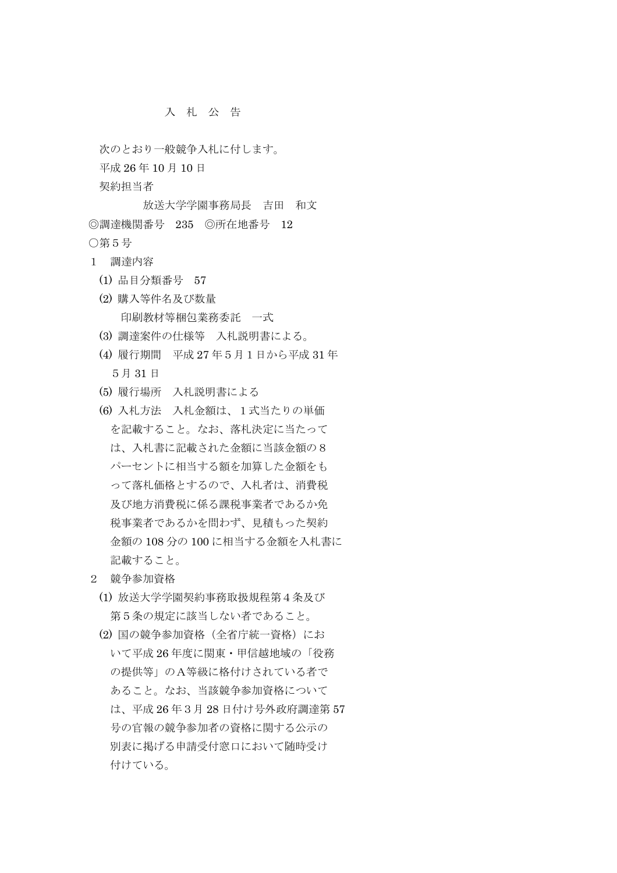## 入 札 公 告

次のとおり一般競争入札に付します。

平成 26 年 10 月 10 日

契約担当者

 放送大学学園事務局長 吉田 和文 ◎調達機関番号 235 ◎所在地番号 12 ○第5号

- 1 調達内容
	- (1) 品目分類番号 57
	- (2) 購入等件名及び数量 印刷教材等梱包業務委託 一式
	- (3) 調達案件の仕様等 入札説明書による。
	- (4) 履行期間 平成 27 年5月1日から平成 31 年 5月 31 日
	- (5) 履行場所 入札説明書による
	- (6) 入札方法 入札金額は、1式当たりの単価 を記載すること。なお、落札決定に当たって は、入札書に記載された金額に当該金額の8 パーセントに相当する額を加算した金額をも って落札価格とするので、入札者は、消費税 及び地方消費税に係る課税事業者であるか免 税事業者であるかを問わず、見積もった契約 金額の 108 分の 100 に相当する金額を入札書に 記載すること。
- 2 競争参加資格
	- (1) 放送大学学園契約事務取扱規程第4条及び 第5条の規定に該当しない者であること。
	- (2) 国の競争参加資格(全省庁統一資格)にお いて平成 26 年度に関東・甲信越地域の「役務 の提供等」のA等級に格付けされている者で あること。なお、当該競争参加資格について は、平成 26 年3月 28 日付け号外政府調達第 57 号の官報の競争参加者の資格に関する公示の 別表に掲げる申請受付窓口において随時受け 付けている。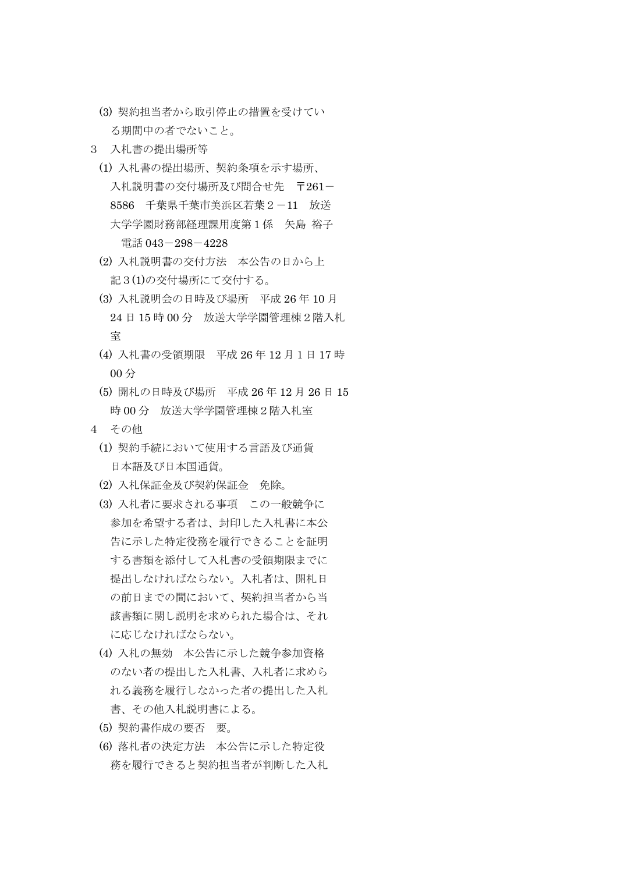- (3) 契約担当者から取引停止の措置を受けてい る期間中の者でないこと。
- 3 入札書の提出場所等
	- (1) 入札書の提出場所、契約条項を示す場所、 入札説明書の交付場所及び問合せ先 〒261- 8586 千葉県千葉市美浜区若葉2-11 放送 大学学園財務部経理課用度第1係 矢島 裕子 電話 043-298-4228
	- (2) 入札説明書の交付方法 本公告の日から上 記3(1)の交付場所にて交付する。
	- (3) 入札説明会の日時及び場所 平成 26 年 10 月 24 日 15 時 00 分 放送大学学園管理棟2階入札 室
	- (4) 入札書の受領期限 平成 26 年 12 月1日 17 時 00 分
	- (5) 開札の日時及び場所 平成 26 年 12 月 26 日 15 時 00 分 放送大学学園管理棟2階入札室
- 4 その他
	- (1) 契約手続において使用する言語及び通貨 日本語及び日本国通貨。
	- (2) 入札保証金及び契約保証金 免除。
	- (3) 入札者に要求される事項 この一般競争に 参加を希望する者は、封印した入札書に本公 告に示した特定役務を履行できることを証明 する書類を添付して入札書の受領期限までに 提出しなければならない。入札者は、開札日 の前日までの間において、契約担当者から当 該書類に関し説明を求められた場合は、それ に応じなければならない。
	- (4) 入札の無効 本公告に示した競争参加資格 のない者の提出した入札書、入札者に求めら れる義務を履行しなかった者の提出した入札 書、その他入札説明書による。
	- (5) 契約書作成の要否 要。
	- (6) 落札者の決定方法 本公告に示した特定役 務を履行できると契約担当者が判断した入札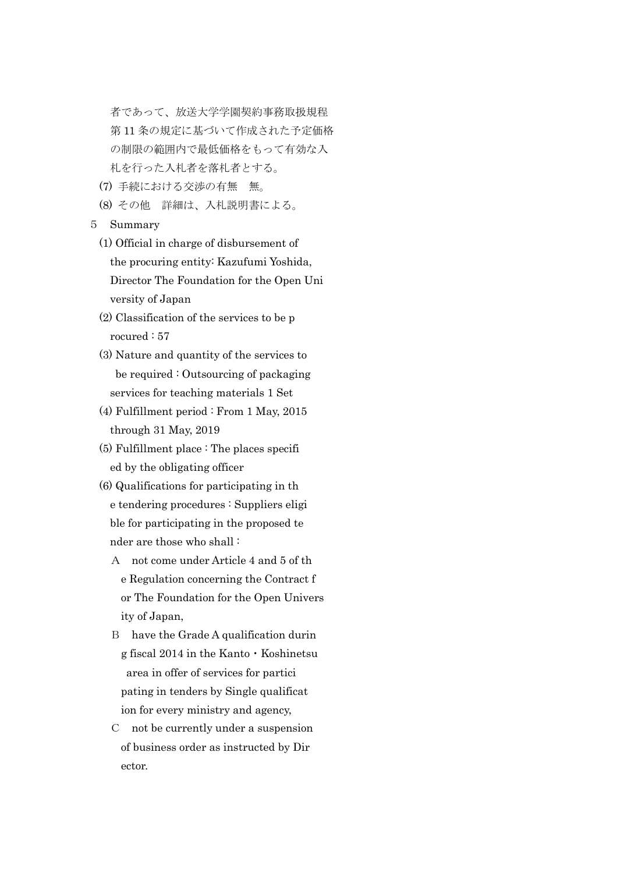者であって、放送大学学園契約事務取扱規程 第 11 条の規定に基づいて作成された予定価格 の制限の範囲内で最低価格をもって有効な入 札を行った入札者を落札者とする。

- (7) 手続における交渉の有無 無。
- (8) その他 詳細は、入札説明書による。
- 5 Summary
	- (1) Official in charge of disbursement of the procuring entity: Kazufumi Yoshida, Director The Foundation for the Open Uni versity of Japan
	- (2) Classification of the services to be p rocured : 57
	- (3) Nature and quantity of the services to be required : Outsourcing of packaging services for teaching materials 1 Set
	- (4) Fulfillment period : From 1 May, 2015 through 31 May, 2019
	- (5) Fulfillment place : The places specifi ed by the obligating officer
	- (6) Qualifications for participating in th e tendering procedures : Suppliers eligi ble for participating in the proposed te nder are those who shall :
		- A not come under Article 4 and 5 of th e Regulation concerning the Contract f or The Foundation for the Open Univers ity of Japan,
		- B have the Grade A qualification durin g fiscal  $2014$  in the Kanto  $\cdot$  Koshinetsu area in offer of services for partici pating in tenders by Single qualificat ion for every ministry and agency,
		- C not be currently under a suspension of business order as instructed by Dir ector.